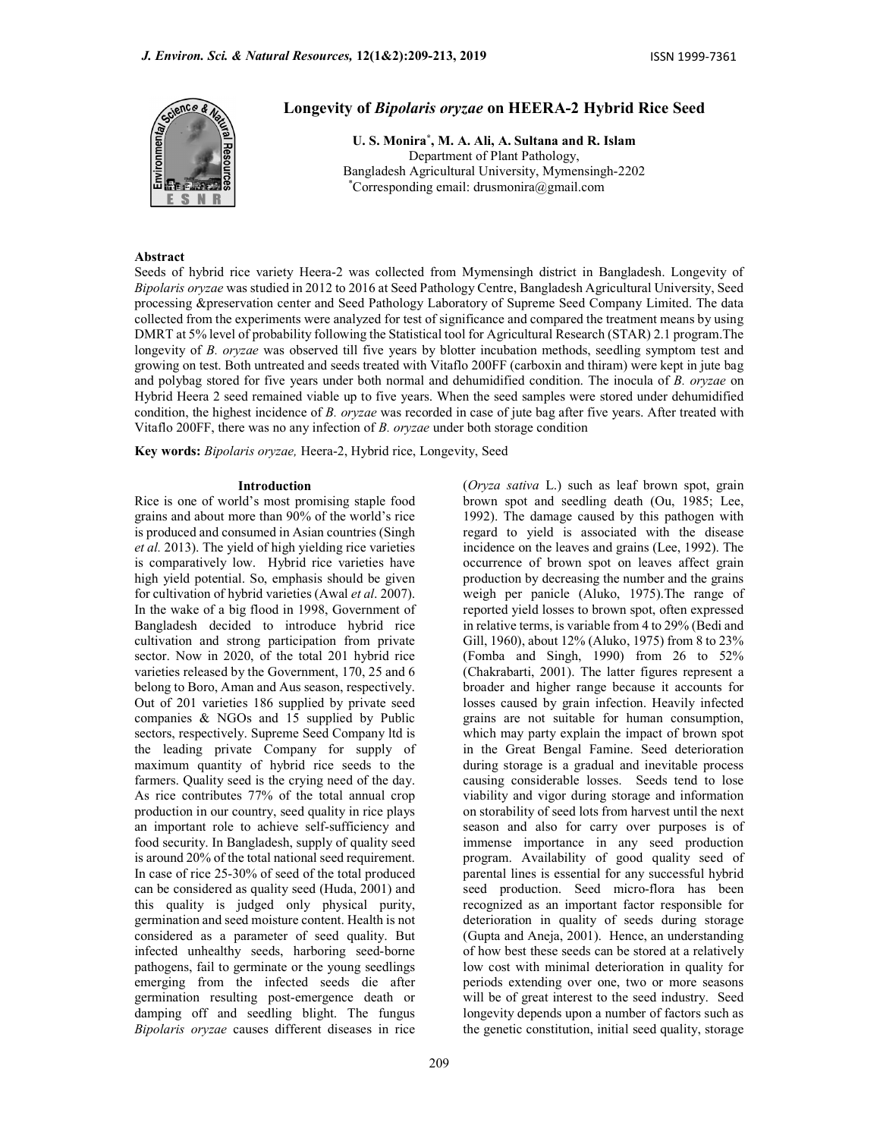

# Longevity of Bipolaris oryzae on HEERA-2 Hybrid Rice Seed

U. S. Monira\* , M. A. Ali, A. Sultana and R. Islam Department of Plant Pathology, Bangladesh Agricultural University, Mymensingh-2202 \*Corresponding email: drusmonira@gmail.com

#### Abstract

Seeds of hybrid rice variety Heera-2 was collected from Mymensingh district in Bangladesh. Longevity of Bipolaris oryzae was studied in 2012 to 2016 at Seed Pathology Centre, Bangladesh Agricultural University, Seed processing &preservation center and Seed Pathology Laboratory of Supreme Seed Company Limited. The data collected from the experiments were analyzed for test of significance and compared the treatment means by using DMRT at 5% level of probability following the Statistical tool for Agricultural Research (STAR) 2.1 program.The longevity of B. oryzae was observed till five years by blotter incubation methods, seedling symptom test and growing on test. Both untreated and seeds treated with Vitaflo 200FF (carboxin and thiram) were kept in jute bag and polybag stored for five years under both normal and dehumidified condition. The inocula of B. oryzae on Hybrid Heera 2 seed remained viable up to five years. When the seed samples were stored under dehumidified condition, the highest incidence of B. oryzae was recorded in case of jute bag after five years. After treated with Vitaflo 200FF, there was no any infection of B. oryzae under both storage condition

Key words: Bipolaris oryzae, Heera-2, Hybrid rice, Longevity, Seed

#### Introduction

Rice is one of world's most promising staple food grains and about more than 90% of the world's rice is produced and consumed in Asian countries (Singh et al. 2013). The yield of high yielding rice varieties is comparatively low. Hybrid rice varieties have high yield potential. So, emphasis should be given for cultivation of hybrid varieties (Awal et al. 2007). In the wake of a big flood in 1998, Government of Bangladesh decided to introduce hybrid rice cultivation and strong participation from private sector. Now in 2020, of the total 201 hybrid rice varieties released by the Government, 170, 25 and 6 belong to Boro, Aman and Aus season, respectively. Out of 201 varieties 186 supplied by private seed companies & NGOs and 15 supplied by Public sectors, respectively. Supreme Seed Company ltd is the leading private Company for supply of maximum quantity of hybrid rice seeds to the farmers. Quality seed is the crying need of the day. As rice contributes 77% of the total annual crop production in our country, seed quality in rice plays an important role to achieve self-sufficiency and food security. In Bangladesh, supply of quality seed is around 20% of the total national seed requirement. In case of rice 25-30% of seed of the total produced can be considered as quality seed (Huda, 2001) and this quality is judged only physical purity, germination and seed moisture content. Health is not considered as a parameter of seed quality. But infected unhealthy seeds, harboring seed-borne pathogens, fail to germinate or the young seedlings emerging from the infected seeds die after germination resulting post-emergence death or damping off and seedling blight. The fungus Bipolaris oryzae causes different diseases in rice

209

(Oryza sativa L.) such as leaf brown spot, grain brown spot and seedling death (Ou, 1985; Lee, 1992). The damage caused by this pathogen with regard to yield is associated with the disease incidence on the leaves and grains (Lee, 1992). The occurrence of brown spot on leaves affect grain production by decreasing the number and the grains weigh per panicle (Aluko, 1975).The range of reported yield losses to brown spot, often expressed in relative terms, is variable from 4 to 29% (Bedi and Gill, 1960), about 12% (Aluko, 1975) from 8 to 23% (Fomba and Singh, 1990) from 26 to 52% (Chakrabarti, 2001). The latter figures represent a broader and higher range because it accounts for losses caused by grain infection. Heavily infected grains are not suitable for human consumption, which may party explain the impact of brown spot in the Great Bengal Famine. Seed deterioration during storage is a gradual and inevitable process causing considerable losses. Seeds tend to lose viability and vigor during storage and information on storability of seed lots from harvest until the next season and also for carry over purposes is of immense importance in any seed production program. Availability of good quality seed of parental lines is essential for any successful hybrid seed production. Seed micro-flora has been recognized as an important factor responsible for deterioration in quality of seeds during storage (Gupta and Aneja, 2001). Hence, an understanding of how best these seeds can be stored at a relatively low cost with minimal deterioration in quality for periods extending over one, two or more seasons will be of great interest to the seed industry. Seed longevity depends upon a number of factors such as the genetic constitution, initial seed quality, storage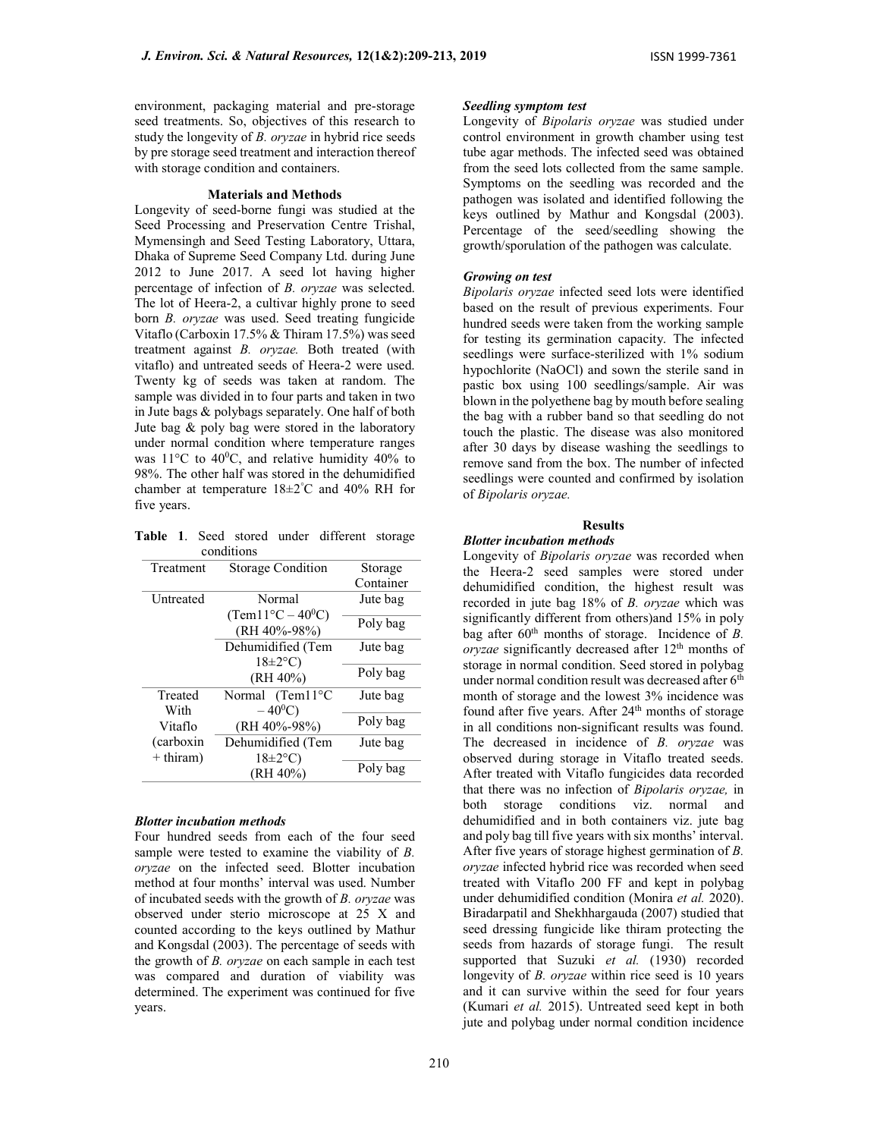environment, packaging material and pre-storage seed treatments. So, objectives of this research to study the longevity of B. oryzae in hybrid rice seeds by pre storage seed treatment and interaction thereof with storage condition and containers.

#### Materials and Methods

Longevity of seed-borne fungi was studied at the Seed Processing and Preservation Centre Trishal, Mymensingh and Seed Testing Laboratory, Uttara, Dhaka of Supreme Seed Company Ltd. during June 2012 to June 2017. A seed lot having higher percentage of infection of B. oryzae was selected. The lot of Heera-2, a cultivar highly prone to seed born B. oryzae was used. Seed treating fungicide Vitaflo (Carboxin 17.5% & Thiram 17.5%) was seed treatment against B. oryzae. Both treated (with vitaflo) and untreated seeds of Heera-2 were used. Twenty kg of seeds was taken at random. The sample was divided in to four parts and taken in two in Jute bags & polybags separately. One half of both Jute bag & poly bag were stored in the laboratory under normal condition where temperature ranges was  $11^{\circ}$ C to  $40^{\circ}$ C, and relative humidity  $40\%$  to 98%. The other half was stored in the dehumidified chamber at temperature 18±2°C and 40% RH for five years.

Table 1. Seed stored under different storage conditions

| Treatment        | <b>Storage Condition</b>         | Storage   |  |  |  |
|------------------|----------------------------------|-----------|--|--|--|
|                  |                                  | Container |  |  |  |
| <b>Untreated</b> | Normal                           | Jute bag  |  |  |  |
|                  | $(Tem11^{\circ}C - 40^{\circ}C)$ |           |  |  |  |
|                  | $(RH 40\% - 98\%)$               | Poly bag  |  |  |  |
|                  | Dehumidified (Tem                | Jute bag  |  |  |  |
|                  | $18 \pm 2$ °C)                   |           |  |  |  |
|                  | (RH 40%)                         | Poly bag  |  |  |  |
| Treated          | Normal (Tem11°C                  | Jute bag  |  |  |  |
| With             | $-40^0C$ )                       |           |  |  |  |
| Vitaflo          | $(RH 40\% - 98\%)$               | Poly bag  |  |  |  |
| (carboxin)       | Dehumidified (Tem                | Jute bag  |  |  |  |
| $+$ thiram)      | $18 \pm 2$ °C)                   |           |  |  |  |
|                  | (RH 40%)                         | Poly bag  |  |  |  |

# Blotter incubation methods

Four hundred seeds from each of the four seed sample were tested to examine the viability of B. oryzae on the infected seed. Blotter incubation method at four months' interval was used. Number of incubated seeds with the growth of B. oryzae was observed under sterio microscope at 25 X and counted according to the keys outlined by Mathur and Kongsdal (2003). The percentage of seeds with the growth of B. oryzae on each sample in each test was compared and duration of viability was determined. The experiment was continued for five years.

# Seedling symptom test

Longevity of Bipolaris oryzae was studied under control environment in growth chamber using test tube agar methods. The infected seed was obtained from the seed lots collected from the same sample. Symptoms on the seedling was recorded and the pathogen was isolated and identified following the keys outlined by Mathur and Kongsdal (2003). Percentage of the seed/seedling showing the growth/sporulation of the pathogen was calculate.

### Growing on test

Bipolaris oryzae infected seed lots were identified based on the result of previous experiments. Four hundred seeds were taken from the working sample for testing its germination capacity. The infected seedlings were surface-sterilized with 1% sodium hypochlorite (NaOCl) and sown the sterile sand in pastic box using 100 seedlings/sample. Air was blown in the polyethene bag by mouth before sealing the bag with a rubber band so that seedling do not touch the plastic. The disease was also monitored after 30 days by disease washing the seedlings to remove sand from the box. The number of infected seedlings were counted and confirmed by isolation of Bipolaris oryzae.

#### Results

# Blotter incubation methods

Longevity of *Bipolaris oryzae* was recorded when the Heera-2 seed samples were stored under dehumidified condition, the highest result was recorded in jute bag 18% of *B. oryzae* which was significantly different from others)and 15% in poly bag after  $60<sup>th</sup>$  months of storage. Incidence of B.  $oryzae$  significantly decreased after  $12<sup>th</sup>$  months of storage in normal condition. Seed stored in polybag under normal condition result was decreased after  $6<sup>th</sup>$ month of storage and the lowest 3% incidence was found after five years. After 24<sup>th</sup> months of storage in all conditions non-significant results was found. The decreased in incidence of  $B$ . oryzae was observed during storage in Vitaflo treated seeds. After treated with Vitaflo fungicides data recorded that there was no infection of Bipolaris oryzae, in both storage conditions viz. normal and dehumidified and in both containers viz. jute bag and poly bag till five years with six months' interval. After five years of storage highest germination of B. oryzae infected hybrid rice was recorded when seed treated with Vitaflo 200 FF and kept in polybag under dehumidified condition (Monira et al. 2020). Biradarpatil and Shekhhargauda (2007) studied that seed dressing fungicide like thiram protecting the seeds from hazards of storage fungi. The result supported that Suzuki et al. (1930) recorded longevity of *B. oryzae* within rice seed is 10 years and it can survive within the seed for four years (Kumari et al. 2015). Untreated seed kept in both jute and polybag under normal condition incidence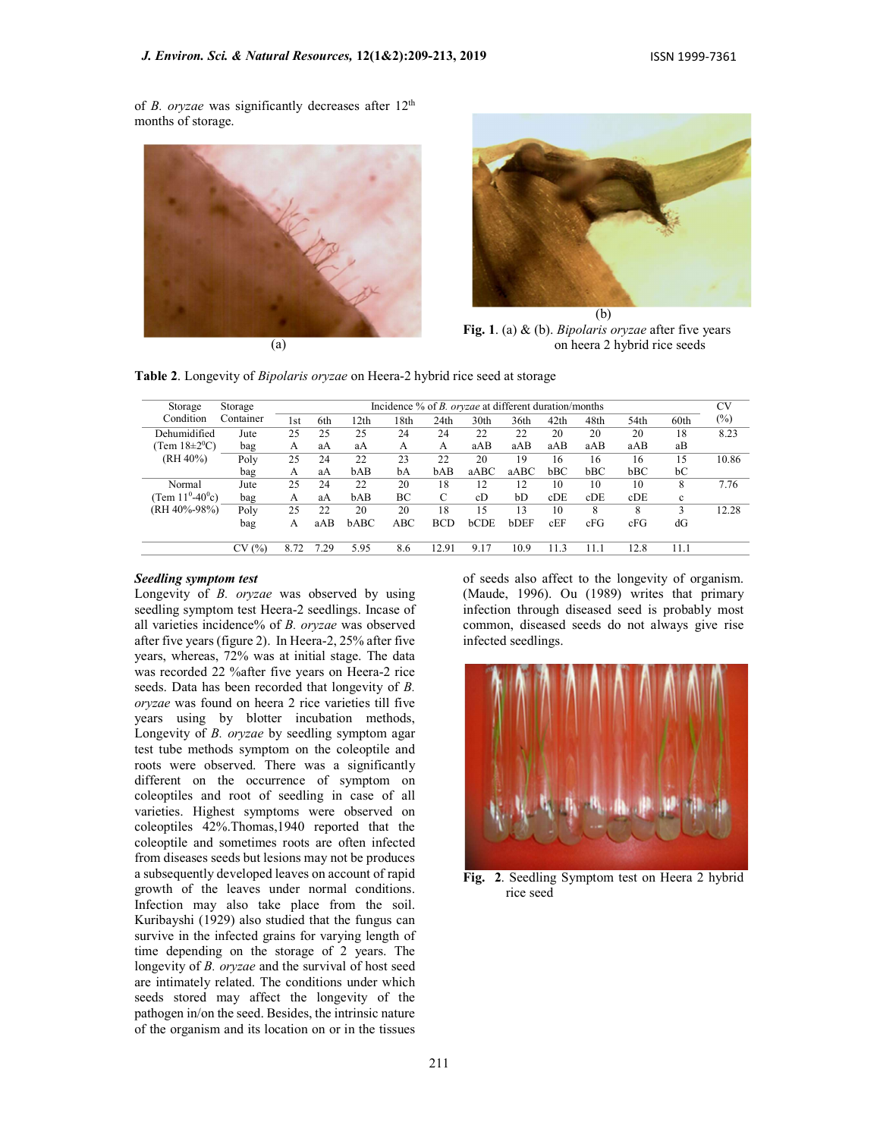of B. oryzae was significantly decreases after  $12<sup>th</sup>$ months of storage.



(a)



Fig. 1. (a) & (b). Bipolaris oryzae after five years on heera 2 hybrid rice seeds

Table 2. Longevity of *Bipolaris oryzae* on Heera-2 hybrid rice seed at storage

| Storage              | Storage   | Incidence % of <i>B. oryzae</i> at different duration/months |      |      |            |            |                  |      |      |      | CV   |             |        |
|----------------------|-----------|--------------------------------------------------------------|------|------|------------|------------|------------------|------|------|------|------|-------------|--------|
| Condition            | Container | lst                                                          | 6th  | 12th | 8th        | 24th       | 30 <sub>th</sub> | 36th | 42th | 48th | 54th | 60th        | $(\%)$ |
| Dehumidified         | Jute      | 25                                                           | 25   | 25   | 24         | 24         | 22               | 22   | 20   | 20   | 20   | 18          | 8.23   |
| (Tem $18\pm20$ °C)   | bag       | A                                                            | aA   | aA   | A          | A          | aAB              | aAB  | aAB  | aAB  | aAB  | aB          |        |
| (RH 40%)             | Poly      | 25                                                           | 24   | 22   | 23         | 22         | 20               | 19   | 16   | 16   | 16   | 15          | 10.86  |
|                      | bag       | А                                                            | aA   | bAB  | bA         | bAB        | aABC             | aABC | bBC  | bBC  | bBC  | bC          |        |
| Normal               | Jute      | 25                                                           | 24   | 22   | 20         | 18         | 12               | 12   | 10   | 10   | 10   | 8           | 7.76   |
| Tem $11^0 - 40^0$ c) | bag       | A                                                            | aA   | bAB  | ВC         | C          | cD               | bD   | cDE  | cDE  | cDE  | $\mathbf c$ |        |
| (RH 40%-98%)         | Poly      | 25                                                           | 22   | 20   | 20         | 18         | 15               | 13   | 10   | 8    | 8    | 3           | 12.28  |
|                      | bag       | А                                                            | aAB  | bABC | <b>ABC</b> | <b>BCD</b> | <b>bCDE</b>      | bDEF | cEF  | cFG  | cFG  | dG          |        |
|                      | (%)<br>CV | 8.72                                                         | 7.29 | 5.95 | 8.6        | 12.91      | 9.17             | 10.9 | 11.3 | 11.1 | 12.8 | 11.1        |        |

# Seedling symptom test

Longevity of B. oryzae was observed by using seedling symptom test Heera-2 seedlings. Incase of all varieties incidence% of B. oryzae was observed after five years (figure 2). In Heera-2, 25% after five years, whereas, 72% was at initial stage. The data was recorded 22 %after five years on Heera-2 rice seeds. Data has been recorded that longevity of B. oryzae was found on heera 2 rice varieties till five years using by blotter incubation methods, Longevity of B. oryzae by seedling symptom agar test tube methods symptom on the coleoptile and roots were observed. There was a significantly different on the occurrence of symptom on coleoptiles and root of seedling in case of all varieties. Highest symptoms were observed on coleoptiles 42%.Thomas,1940 reported that the coleoptile and sometimes roots are often infected from diseases seeds but lesions may not be produces a subsequently developed leaves on account of rapid growth of the leaves under normal conditions. Infection may also take place from the soil. Kuribayshi (1929) also studied that the fungus can survive in the infected grains for varying length of time depending on the storage of 2 years. The longevity of *B. oryzae* and the survival of host seed are intimately related. The conditions under which seeds stored may affect the longevity of the pathogen in/on the seed. Besides, the intrinsic nature of the organism and its location on or in the tissues

of seeds also affect to the longevity of organism. (Maude, 1996). Ou (1989) writes that primary infection through diseased seed is probably most common, diseased seeds do not always give rise infected seedlings.



Fig. 2. Seedling Symptom test on Heera 2 hybrid rice seed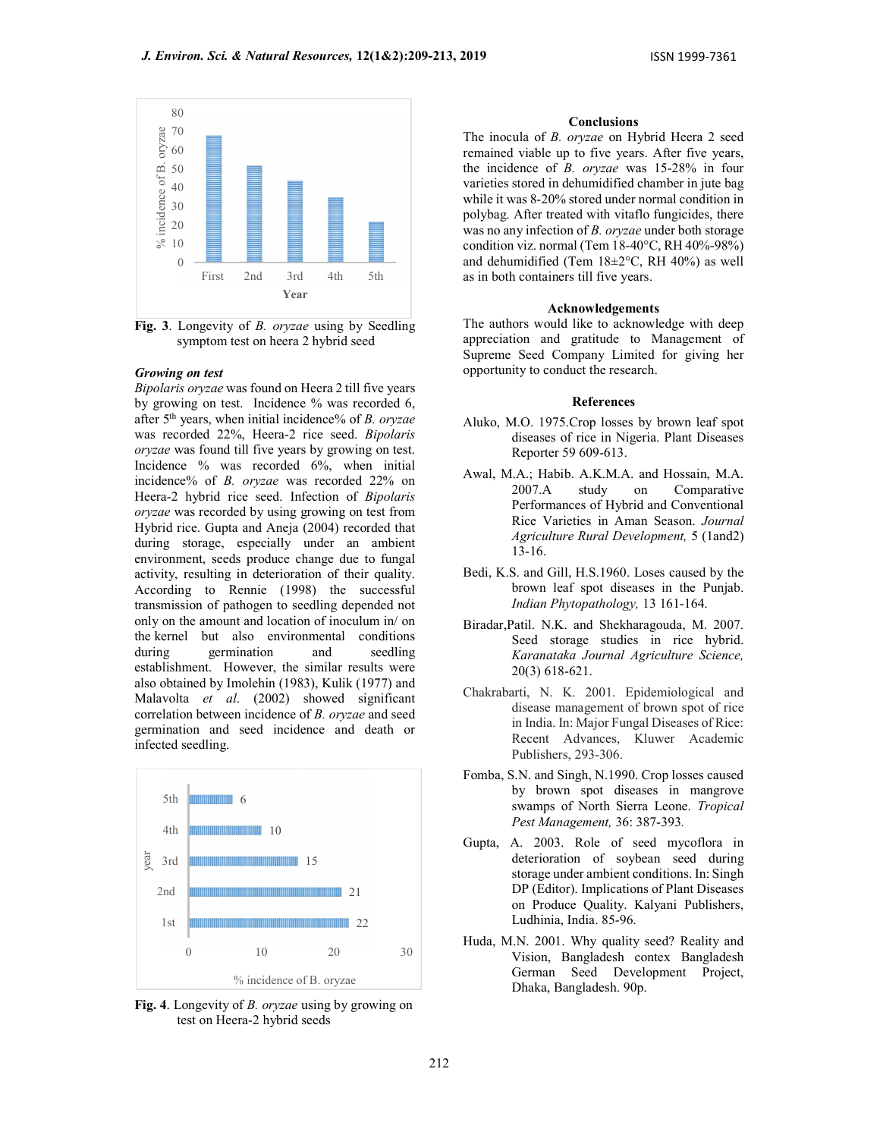

Fig. 3. Longevity of B. oryzae using by Seedling symptom test on heera 2 hybrid seed

# Growing on test

Bipolaris oryzae was found on Heera 2 till five years by growing on test. Incidence % was recorded 6, after 5th years, when initial incidence% of B. oryzae was recorded 22%, Heera-2 rice seed. Bipolaris oryzae was found till five years by growing on test. Incidence % was recorded 6%, when initial incidence% of B. oryzae was recorded 22% on Heera-2 hybrid rice seed. Infection of Bipolaris oryzae was recorded by using growing on test from Hybrid rice. Gupta and Aneja (2004) recorded that during storage, especially under an ambient environment, seeds produce change due to fungal activity, resulting in deterioration of their quality. According to Rennie (1998) the successful transmission of pathogen to seedling depended not only on the amount and location of inoculum in/ on the kernel but also environmental conditions during germination and seedling establishment. However, the similar results were also obtained by Imolehin (1983), Kulik (1977) and Malavolta et al. (2002) showed significant correlation between incidence of B. oryzae and seed germination and seed incidence and death or infected seedling.



Fig. 4. Longevity of *B. oryzae* using by growing on test on Heera-2 hybrid seeds

# Conclusions

The inocula of B. orvzae on Hybrid Heera 2 seed remained viable up to five years. After five years, the incidence of B. oryzae was 15-28% in four varieties stored in dehumidified chamber in jute bag while it was 8-20% stored under normal condition in polybag. After treated with vitaflo fungicides, there was no any infection of B. oryzae under both storage condition viz. normal (Tem 18-40°C, RH 40%-98%) and dehumidified (Tem 18±2°C, RH 40%) as well as in both containers till five years.

# Acknowledgements

The authors would like to acknowledge with deep appreciation and gratitude to Management of Supreme Seed Company Limited for giving her opportunity to conduct the research.

#### References

- Aluko, M.O. 1975.Crop losses by brown leaf spot diseases of rice in Nigeria. Plant Diseases Reporter 59 609-613.
- Awal, M.A.; Habib. A.K.M.A. and Hossain, M.A. 2007.A study on Comparative Performances of Hybrid and Conventional Rice Varieties in Aman Season. Journal Agriculture Rural Development, 5 (1and2) 13-16.
- Bedi, K.S. and Gill, H.S.1960. Loses caused by the brown leaf spot diseases in the Punjab. Indian Phytopathology, 13 161-164.
- Biradar,Patil. N.K. and Shekharagouda, M. 2007. Seed storage studies in rice hybrid. Karanataka Journal Agriculture Science, 20(3) 618-621.
- Chakrabarti, N. K. 2001. Epidemiological and disease management of brown spot of rice in India. In: Major Fungal Diseases of Rice: Recent Advances, Kluwer Academic Publishers, 293-306.
- Fomba, S.N. and Singh, N.1990. Crop losses caused by brown spot diseases in mangrove swamps of North Sierra Leone. Tropical Pest Management, 36: 387-393.
- Gupta, A. 2003. Role of seed mycoflora in deterioration of soybean seed during storage under ambient conditions. In: Singh 21 **DP** (Editor). Implications of Plant Diseases on Produce Quality. Kalyani Publishers, Ludhinia, India. 85-96. 22
	- Huda, M.N. 2001. Why quality seed? Reality and Vision, Bangladesh contex Bangladesh German Seed Development Project, Dhaka, Bangladesh. 90p.